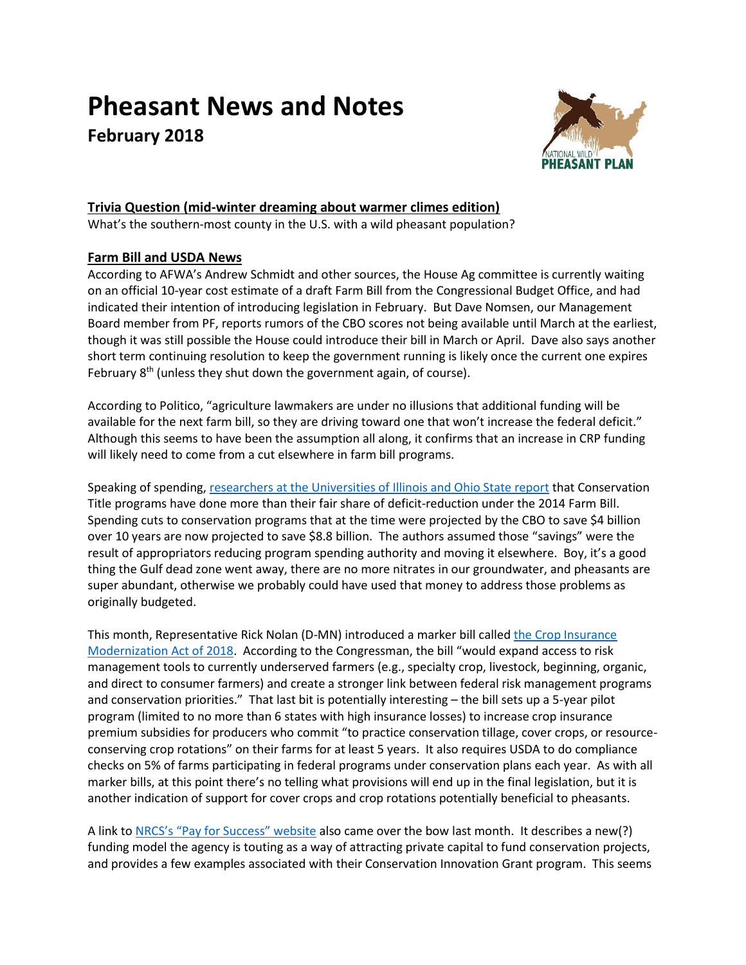# **Pheasant News and Notes February 2018**



# **Trivia Question (mid-winter dreaming about warmer climes edition)**

What's the southern-most county in the U.S. with a wild pheasant population?

# **Farm Bill and USDA News**

According to AFWA's Andrew Schmidt and other sources, the House Ag committee is currently waiting on an official 10-year cost estimate of a draft Farm Bill from the Congressional Budget Office, and had indicated their intention of introducing legislation in February. But Dave Nomsen, our Management Board member from PF, reports rumors of the CBO scores not being available until March at the earliest, though it was still possible the House could introduce their bill in March or April. Dave also says another short term continuing resolution to keep the government running is likely once the current one expires February 8<sup>th</sup> (unless they shut down the government again, of course).

According to Politico, "agriculture lawmakers are under no illusions that additional funding will be available for the next farm bill, so they are driving toward one that won't increase the federal deficit." Although this seems to have been the assumption all along, it confirms that an increase in CRP funding will likely need to come from a cut elsewhere in farm bill programs.

Speaking of spending, [researchers at the Universities](http://farmdocdaily.illinois.edu/2018/02/reviewing-the-state-of-the-farm-bill-spending.html) of Illinois and Ohio State report that Conservation Title programs have done more than their fair share of deficit-reduction under the 2014 Farm Bill. Spending cuts to conservation programs that at the time were projected by the CBO to save \$4 billion over 10 years are now projected to save \$8.8 billion. The authors assumed those "savings" were the result of appropriators reducing program spending authority and moving it elsewhere. Boy, it's a good thing the Gulf dead zone went away, there are no more nitrates in our groundwater, and pheasants are super abundant, otherwise we probably could have used that money to address those problems as originally budgeted.

This month, Representative Rick Nolan (D-MN) introduced a marker bill called the Crop Insurance [Modernization Act of 2018.](https://nolan.house.gov/media-center/press-releases/nolan-introduces-bill-to-expand-access-to-beginning-farmers-crop) According to the Congressman, the bill "would expand access to risk management tools to currently underserved farmers (e.g., specialty crop, livestock, beginning, organic, and direct to consumer farmers) and create a stronger link between federal risk management programs and conservation priorities." That last bit is potentially interesting – the bill sets up a 5-year pilot program (limited to no more than 6 states with high insurance losses) to increase crop insurance premium subsidies for producers who commit "to practice conservation tillage, cover crops, or resourceconserving crop rotations" on their farms for at least 5 years. It also requires USDA to do compliance checks on 5% of farms participating in federal programs under conservation plans each year. As with all marker bills, at this point there's no telling what provisions will end up in the final legislation, but it is another indication of support for cover crops and crop rotations potentially beneficial to pheasants.

A link to NRCS's "[Pay for Success](http://nrcs.maps.arcgis.com/apps/Cascade/index.html?appid=769a0ef44b1b4d7b85d6e02c0ba7630d)" website also came over the bow last month. It describes a new(?) funding model the agency is touting as a way of attracting private capital to fund conservation projects, and provides a few examples associated with their Conservation Innovation Grant program. This seems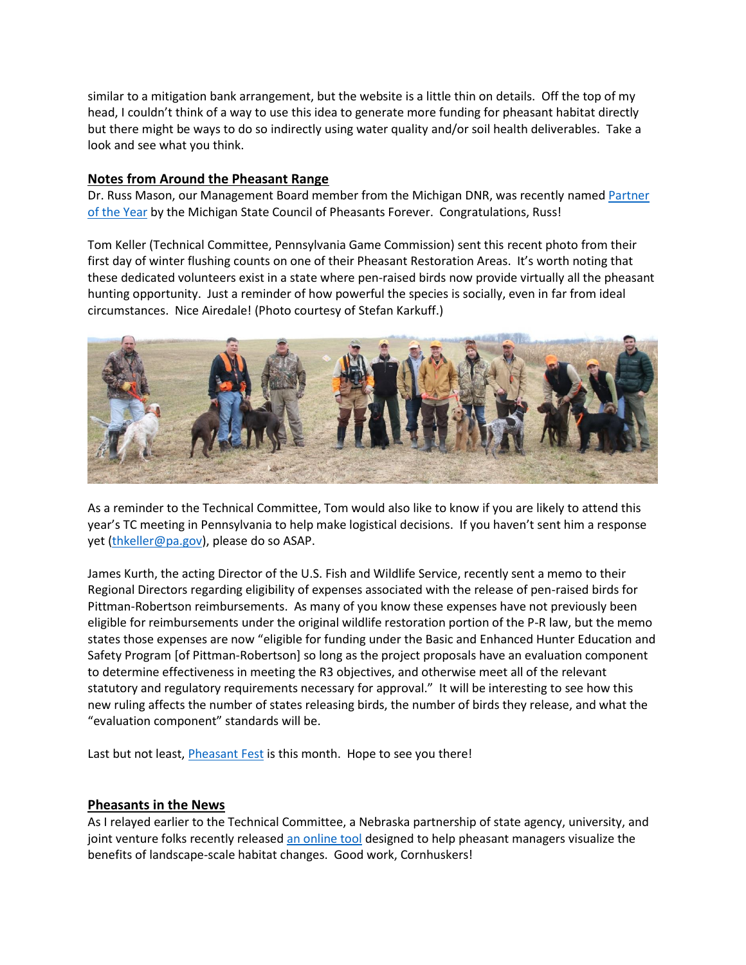similar to a mitigation bank arrangement, but the website is a little thin on details. Off the top of my head, I couldn't think of a way to use this idea to generate more funding for pheasant habitat directly but there might be ways to do so indirectly using water quality and/or soil health deliverables. Take a look and see what you think.

## **Notes from Around the Pheasant Range**

Dr. Russ Mason, our Management Board member from the Michigan DNR, was recently named [Partner](http://www.michigan.gov/dnr/0,4570,7-153-10366_54559_10402-458296--,00.html) [of the Year](http://www.michigan.gov/dnr/0,4570,7-153-10366_54559_10402-458296--,00.html) by the Michigan State Council of Pheasants Forever. Congratulations, Russ!

Tom Keller (Technical Committee, Pennsylvania Game Commission) sent this recent photo from their first day of winter flushing counts on one of their Pheasant Restoration Areas. It's worth noting that these dedicated volunteers exist in a state where pen-raised birds now provide virtually all the pheasant hunting opportunity. Just a reminder of how powerful the species is socially, even in far from ideal circumstances. Nice Airedale! (Photo courtesy of Stefan Karkuff.)



As a reminder to the Technical Committee, Tom would also like to know if you are likely to attend this year's TC meeting in Pennsylvania to help make logistical decisions. If you haven't sent him a response yet [\(thkeller@pa.gov\)](mailto:thkeller@pa.gov), please do so ASAP.

James Kurth, the acting Director of the U.S. Fish and Wildlife Service, recently sent a memo to their Regional Directors regarding eligibility of expenses associated with the release of pen-raised birds for Pittman-Robertson reimbursements. As many of you know these expenses have not previously been eligible for reimbursements under the original wildlife restoration portion of the P-R law, but the memo states those expenses are now "eligible for funding under the Basic and Enhanced Hunter Education and Safety Program [of Pittman-Robertson] so long as the project proposals have an evaluation component to determine effectiveness in meeting the R3 objectives, and otherwise meet all of the relevant statutory and regulatory requirements necessary for approval." It will be interesting to see how this new ruling affects the number of states releasing birds, the number of birds they release, and what the "evaluation component" standards will be.

Last but not least, *Pheasant Fest* is this month. Hope to see you there!

## **Pheasants in the News**

As I relayed earlier to the Technical Committee, a Nebraska partnership of state agency, university, and joint venture folks recently release[d an online tool](http://newsroom.unl.edu/announce/snr/7495/42702) designed to help pheasant managers visualize the benefits of landscape-scale habitat changes. Good work, Cornhuskers!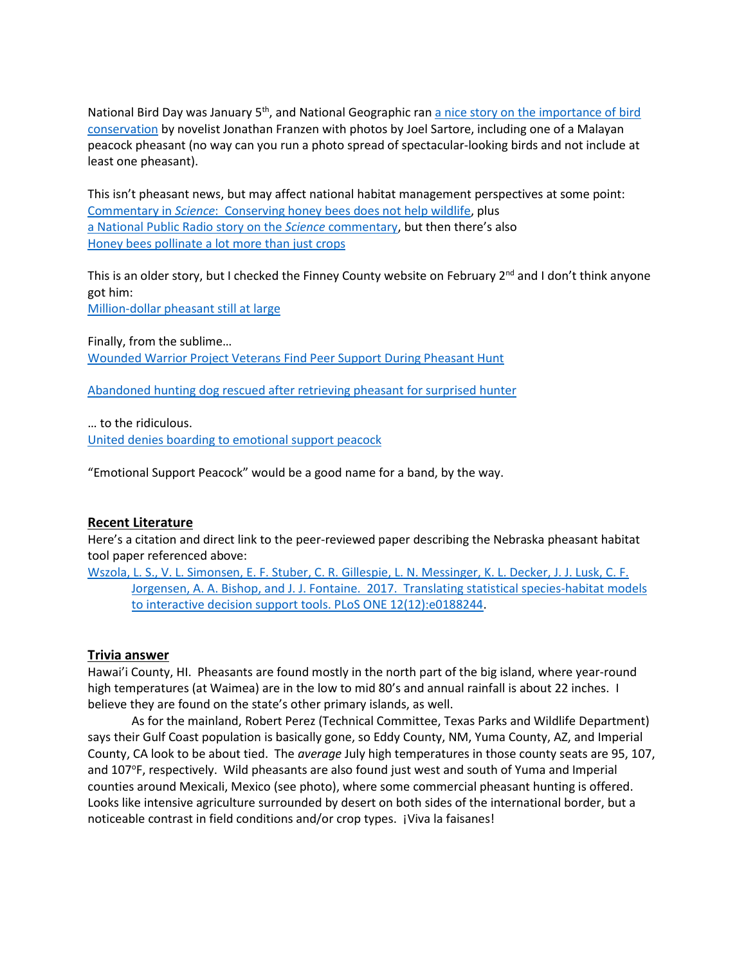National Bird Day was January 5<sup>th</sup>, and National Geographic ran a nice story on the importance of bird [conservation](https://www.nationalgeographic.com/magazine/2018/01/why-birds-matter/?utm_source=Facebook&utm_medium=Social&utm_content=link_fb20180105news-birdsmatter&utm_campaign=Content&sf178361375=1) by novelist Jonathan Franzen with photos by Joel Sartore, including one of a Malayan peacock pheasant (no way can you run a photo spread of spectacular-looking birds and not include at least one pheasant).

This isn't pheasant news, but may affect national habitat management perspectives at some point: Commentary in *Science*[: Conserving honey bees does not help wildlife,](http://science.sciencemag.org/content/359/6374/392.full) plus [a National Public Radio story on the](https://www.npr.org/sections/thesalt/2018/01/27/581007165/honeybees-help-farmers-but-they-dont-help-the-environment) *Science* commentary, but then there's also [Honey bees pollinate a lot more than just crops](http://wildlife.org/honey-bees-pollinate-a-lot-more-than-just-crops/)

This is an older story, but I checked the Finney County website on February 2<sup>nd</sup> and I don't think anyone got him:

[Million-dollar pheasant still at large](http://sportingclassicsdaily.com/million-dollar-pheasant/)

Finally, from the sublime… [Wounded Warrior Project Veterans Find Peer Support During Pheasant Hunt](https://www.prnewswire.com/news-releases/wounded-warrior-project-veterans-find-peer-support-during-pheasant-hunt-300582192.html)

[Abandoned hunting dog rescued after retrieving pheasant for surprised hunter](http://www.thepublicopinion.com/news/local_news/abandoned-hunting-dog-rescued-after-retrieving-pheasant-for-surprised-hunter/article_21c11b62-facf-11e7-aa15-4b9b3040b658.html)

… to the ridiculous. [United denies boarding to emotional support peacock](http://liveandletsfly.boardingarea.com/2018/01/29/united-airlines-peacock/)

"Emotional Support Peacock" would be a good name for a band, by the way.

## **Recent Literature**

Here's a citation and direct link to the peer-reviewed paper describing the Nebraska pheasant habitat tool paper referenced above:

[Wszola, L. S., V. L. Simonsen, E. F. Stuber, C. R. Gillespie, L. N. Messinger, K. L. Decker, J. J. Lusk, C. F.](http://journals.plos.org/plosone/article?id=10.1371/journal.pone.0188244)  [Jorgensen, A. A. Bishop, and J. J. Fontaine. 2017. Translating statistical species-habitat models](http://journals.plos.org/plosone/article?id=10.1371/journal.pone.0188244)  [to interactive decision support tools. PLoS ONE 12\(12\):e0188244.](http://journals.plos.org/plosone/article?id=10.1371/journal.pone.0188244)

## **Trivia answer**

Hawai'i County, HI. Pheasants are found mostly in the north part of the big island, where year-round high temperatures (at Waimea) are in the low to mid 80's and annual rainfall is about 22 inches. I believe they are found on the state's other primary islands, as well.

As for the mainland, Robert Perez (Technical Committee, Texas Parks and Wildlife Department) says their Gulf Coast population is basically gone, so Eddy County, NM, Yuma County, AZ, and Imperial County, CA look to be about tied. The *average* July high temperatures in those county seats are 95, 107, and 107°F, respectively. Wild pheasants are also found just west and south of Yuma and Imperial counties around Mexicali, Mexico (see photo), where some commercial pheasant hunting is offered. Looks like intensive agriculture surrounded by desert on both sides of the international border, but a noticeable contrast in field conditions and/or crop types. ¡Viva la faisanes!